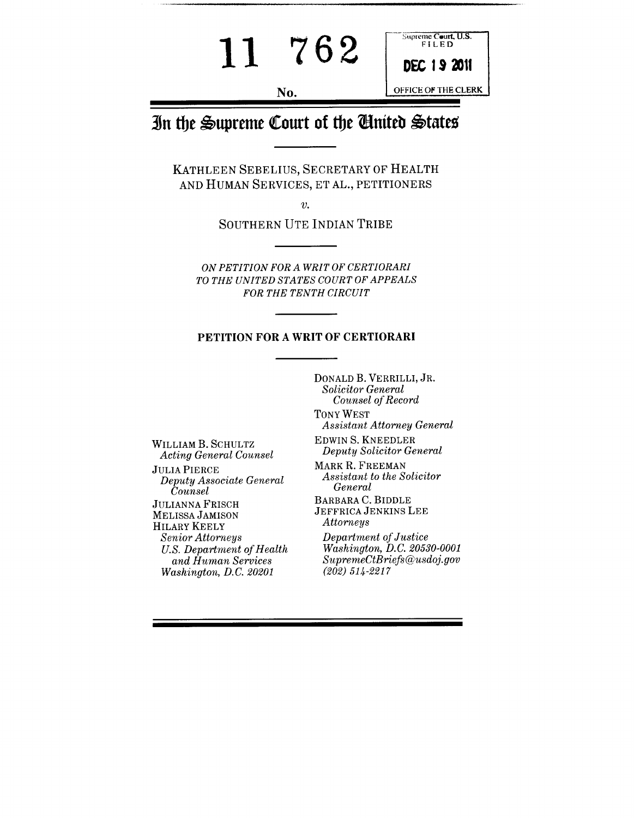# 11 **762**

No.

OFFICE OF THE CLERK

**DEC 19 2011** 

Supreme Court, U.S. FILED

## $\mathfrak{In}$  the Supreme Court of the United States

KATHLEEN SEBELIUS, SECRETARY OF HEALTH AND HUMAN SERVICES, ET AL., PETITIONERS

 $\overline{v}$ .

SOUTHERN UTE INDIAN TRIBE

*ON PETITION FOR A WRIT OF CERTIORARI TO THE UNITED STATES COURT OF APPEALS FOR THE TENTH CIRCUIT*

#### **PETITION FOR A WRIT OF CERTIORARI**

WILLIAM B. SCHULTZ *Acting General Counsel* JULIA PIERCE *Deputy Associate General Counsel* JULIANNA FRISCH MELISSA JAMISON HILARY KEELY *Senior Attorneys U.S. Department of Health and Human Services Washington, D.C. 20201*

DONALD B. VERRILLI, JR. *Solicitor General Counsel of Record* TONY WEST *Assistant Attorney General*

EDWIN S. KNEEDLER *Deputy Solicitor General*

MARK **R.** FREEMAN *Assistant to the Solicitor General*

BARBARA C. BIDDLE JEFFRICA JENKINS LEE *Attorneys Department of Justice Washington, D.C. 20530-0001*

*SupremeCtBriefs@usdoj.gov (202) 514-2217*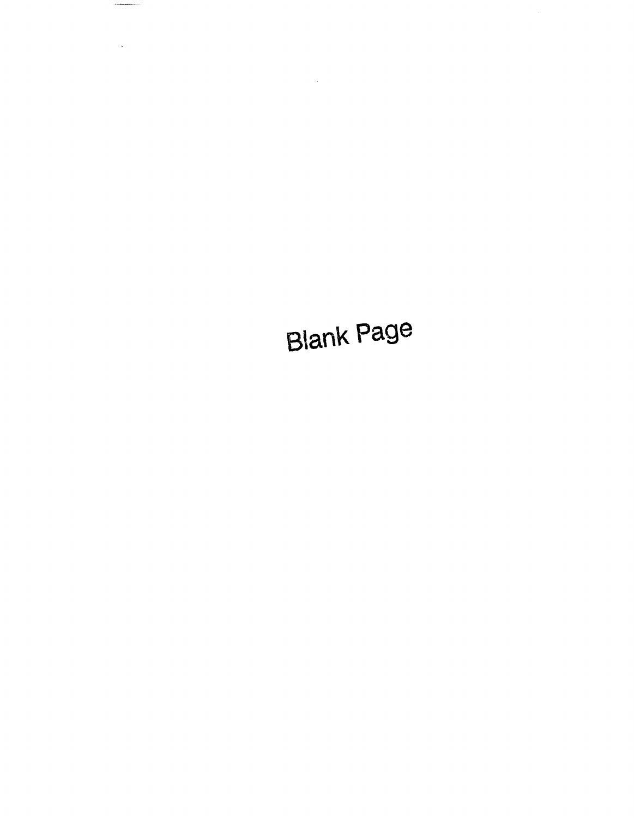**Blank Page** 

 $\label{eq:conformal} \begin{split} \mathcal{L}_{\mathcal{A}}(t) = \mathcal{L}_{\mathcal{A}}(t) = \mathcal{L}_{\mathcal{A}}(t) + \mathcal{L}_{\mathcal{A}}(t) + \mathcal{L}_{\mathcal{A}}(t) + \mathcal{L}_{\mathcal{A}}(t) + \mathcal{L}_{\mathcal{A}}(t) + \mathcal{L}_{\mathcal{A}}(t) + \mathcal{L}_{\mathcal{A}}(t) + \mathcal{L}_{\mathcal{A}}(t) + \mathcal{L}_{\mathcal{A}}(t) + \mathcal{L}_{\mathcal{A}}(t) + \mathcal{L}_{\mathcal{A}}(t$ 

 $\Delta \sim 10^{11}$  mass  $^{-1}$  .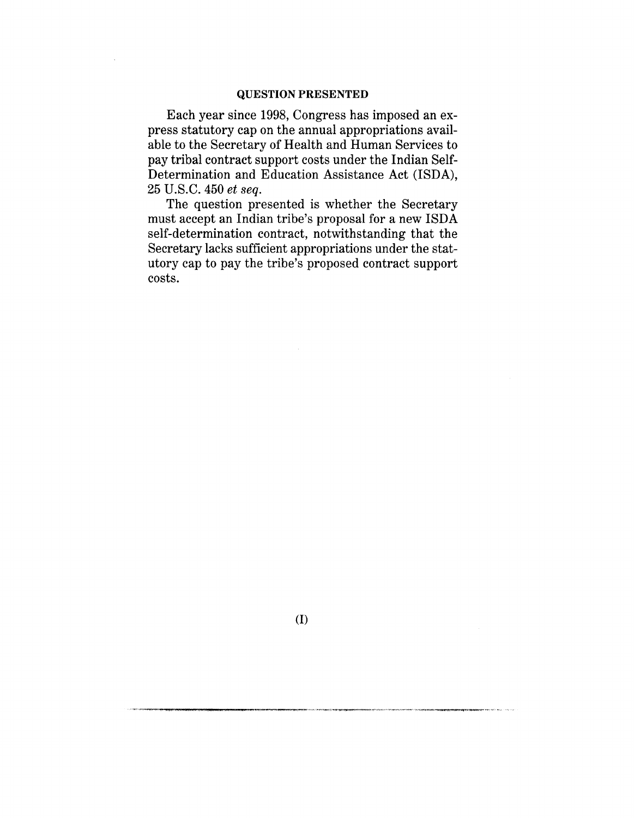#### QUESTION PRESENTED

Each year since 1998, Congress has imposed an express statutory cap on the annual appropriations available to the Secretary of Health and Human Services to pay tribal contract support costs under the Indian Self-Determination and Education Assistance Act (ISDA), 25 U.S.C. 450 *et seq.*

The question presented is whether the Secretary must accept an Indian tribe's proposal for a new ISDA self-determination contract, notwithstanding that the Secretary lacks sufficient appropriations under the statutory cap to pay the tribe's proposed contract support costs.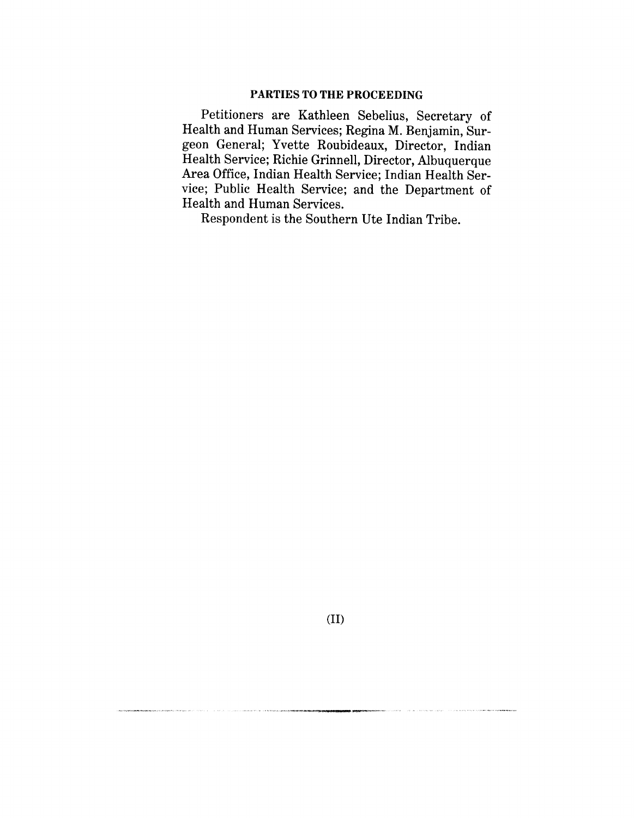#### PARTIES TO THE PROCEEDING

Petitioners are Kathleen Sebelius, Secretary of Health and Human Services; Regina M. Benjamin, Surgeon General; Yvette Roubideaux, Director, Indian Health Service; Richie Grinnell, Director, Albuquerque Area Office, Indian Health Service; Indian Health Service; Public Health Service; and the Department of Health and Human Services.

Respondent is the Southern Ute Indian Tribe.

(II)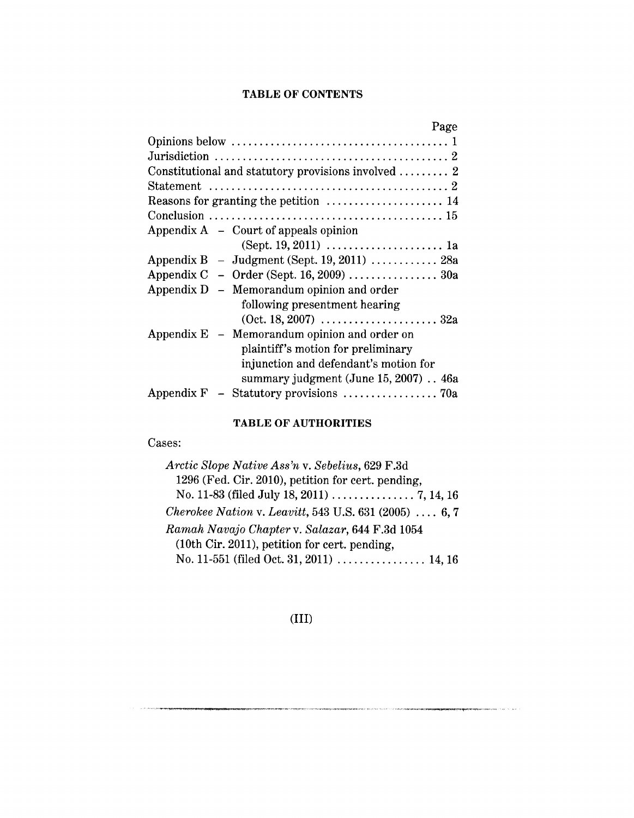#### **TABLE OF CONTENTS**

| Page                                                |
|-----------------------------------------------------|
|                                                     |
|                                                     |
| Constitutional and statutory provisions involved  2 |
|                                                     |
|                                                     |
|                                                     |
| Appendix $A -$ Court of appeals opinion             |
| $(Sept. 19, 2011)$ 1a                               |
| Appendix B - Judgment (Sept. 19, 2011) $\ldots$ 28a |
|                                                     |
| Appendix D - Memorandum opinion and order           |
| following presentment hearing                       |
|                                                     |
| Appendix $E$ – Memorandum opinion and order on      |
| plaintiff's motion for preliminary                  |
| injunction and defendant's motion for               |
| summary judgment (June 15, 2007) $46a$              |
|                                                     |
|                                                     |

#### **TABLE OF AUTHORITIES**

Cases:

.<br>The contract of the second processes and the first of the contract of the contract of the contract of the contract of the contract of the contract of the contract of the contract of the contract of the contract of the co

| Arctic Slope Native Ass'n v. Sebelius, 629 F.3d                      |
|----------------------------------------------------------------------|
| 1296 (Fed. Cir. 2010), petition for cert. pending,                   |
|                                                                      |
| <i>Cherokee Nation v. Leavitt,</i> 543 U.S. 631 (2005) $\ldots$ 6, 7 |
| Ramah Navajo Chapter v. Salazar, 644 F.3d 1054                       |
| (10th Cir. 2011), petition for cert. pending,                        |
| No. 11-551 (filed Oct. 31, 2011)  14, 16                             |

(III)

.<br>Nameno <del>de reg</del>istritare e interessina pri

.<br>במקרה הקירו השמעות המקורה לי היו כל ידי ידי היה היה היה היה היה מרויה את הקירויות להיות היה הקירוקאות המוכרית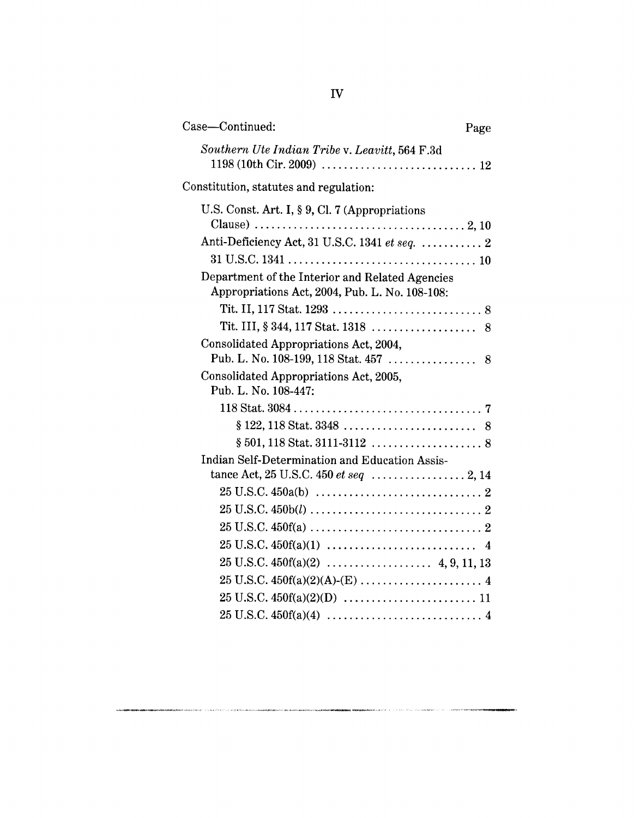| Case—Continued:<br>Page                                                                                          |  |
|------------------------------------------------------------------------------------------------------------------|--|
| Southern Ute Indian Tribe v. Leavitt, 564 F.3d                                                                   |  |
| Constitution, statutes and regulation:                                                                           |  |
| U.S. Const. Art. I, § 9, Cl. 7 (Appropriations                                                                   |  |
| Anti-Deficiency Act, 31 U.S.C. 1341 et seq.  2                                                                   |  |
| $31 \text{ U.S.C. } 1341 \ldots \ldots \ldots \ldots \ldots \ldots \ldots \ldots \ldots \ldots \ldots \ldots 10$ |  |
| Department of the Interior and Related Agencies<br>Appropriations Act, 2004, Pub. L. No. 108-108:                |  |
|                                                                                                                  |  |
|                                                                                                                  |  |
| Consolidated Appropriations Act, 2004,                                                                           |  |
| Consolidated Appropriations Act, 2005,<br>Pub. L. No. 108-447:                                                   |  |
| $118 \text{ Stat. } 3084 \ldots \ldots \ldots \ldots \ldots \ldots \ldots \ldots \ldots \ldots \ldots 7$         |  |
|                                                                                                                  |  |
|                                                                                                                  |  |
| Indian Self-Determination and Education Assis-                                                                   |  |
| $25 \text{ U.S.C. } 450a(b) \dots \dots \dots \dots \dots \dots \dots \dots \dots \dots 2$                       |  |
|                                                                                                                  |  |
|                                                                                                                  |  |
|                                                                                                                  |  |
| $25 \text{ U.S.C. } 450f(a)(2) \dots \dots \dots \dots \dots \dots \dots \quad 4, 9, 11, 13$                     |  |
|                                                                                                                  |  |
|                                                                                                                  |  |
|                                                                                                                  |  |
|                                                                                                                  |  |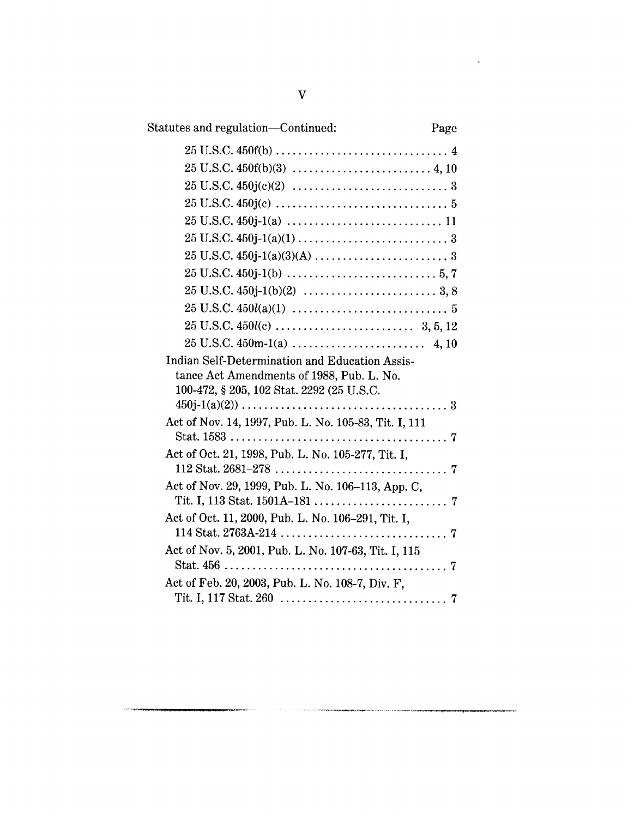| Statutes and regulation—Continued:                                                                                         | Page |
|----------------------------------------------------------------------------------------------------------------------------|------|
|                                                                                                                            |      |
|                                                                                                                            |      |
|                                                                                                                            |      |
|                                                                                                                            |      |
|                                                                                                                            |      |
|                                                                                                                            |      |
| $25 \text{ U.S.C. } 450 \text{j-1}(a)(3)(A) \dots \dots \dots \dots \dots \dots \dots \dots \dots \dots \dots \dots \dots$ |      |
|                                                                                                                            |      |
|                                                                                                                            |      |
| $25 \text{ U.S.C. } 450l(a)(1) \dots \dots \dots \dots \dots \dots \dots \dots \dots \dots \dots 5$                        |      |
|                                                                                                                            |      |
|                                                                                                                            |      |
| Indian Self-Determination and Education Assis-                                                                             |      |
| tance Act Amendments of 1988, Pub. L. No.                                                                                  |      |
| 100-472, § 205, 102 Stat. 2292 (25 U.S.C.                                                                                  |      |
|                                                                                                                            |      |
| Act of Nov. 14, 1997, Pub. L. No. 105-83, Tit. I, 111                                                                      |      |
| Act of Oct. 21, 1998, Pub. L. No. 105-277, Tit. I,                                                                         |      |
|                                                                                                                            |      |
| Act of Nov. 29, 1999, Pub. L. No. 106-113, App. C.                                                                         |      |
|                                                                                                                            |      |
| Act of Oct. 11, 2000, Pub. L. No. 106-291, Tit. I,                                                                         |      |
|                                                                                                                            |      |
| Act of Nov. 5, 2001, Pub. L. No. 107-63, Tit. I, 115                                                                       |      |
|                                                                                                                            |      |
| Act of Feb. 20, 2003, Pub. L. No. 108-7, Div. F,                                                                           |      |
|                                                                                                                            |      |

 $\sim 10^{-11}$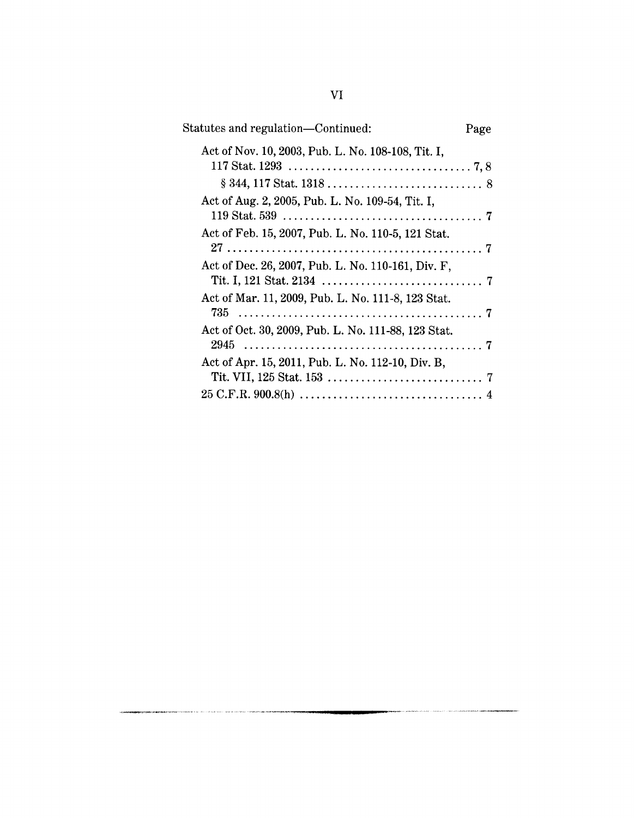| Statutes and regulation-Continued:                                                                                                    | Page |
|---------------------------------------------------------------------------------------------------------------------------------------|------|
| Act of Nov. 10, 2003, Pub. L. No. 108-108, Tit. I,                                                                                    |      |
|                                                                                                                                       |      |
| $\S~344, 117~\mathrm{Stat.}~1318\ldots\ldots\ldots\ldots\ldots\ldots\ldots\ldots\ldots\ldots\,8$                                      |      |
| Act of Aug. 2, 2005, Pub. L. No. 109-54, Tit. I,                                                                                      |      |
|                                                                                                                                       |      |
| Act of Feb. 15, 2007, Pub. L. No. 110-5, 121 Stat.                                                                                    |      |
|                                                                                                                                       |      |
| Act of Dec. 26, 2007, Pub. L. No. 110-161, Div. F,                                                                                    |      |
|                                                                                                                                       |      |
| Act of Mar. 11, 2009, Pub. L. No. 111-8, 123 Stat.                                                                                    |      |
| 735                                                                                                                                   |      |
| Act of Oct. 30, 2009, Pub. L. No. 111-88, 123 Stat.                                                                                   |      |
| 2945                                                                                                                                  |      |
| Act of Apr. 15, 2011, Pub. L. No. 112-10, Div. B,                                                                                     |      |
|                                                                                                                                       |      |
| $25 \, \mathrm{C.F.R.} \, 900.8 \mathrm{(h)} \, \, \ldots \ldots \ldots \ldots \ldots \ldots \ldots \ldots \ldots \ldots \ldots \, 4$ |      |
|                                                                                                                                       |      |

.<br>I 1992 - In Scientiffe and de 1995 de Prince de la provincia de

.<br>Paul Siria III de la confessión del contro i del participat del contro de la componentación de la papa de la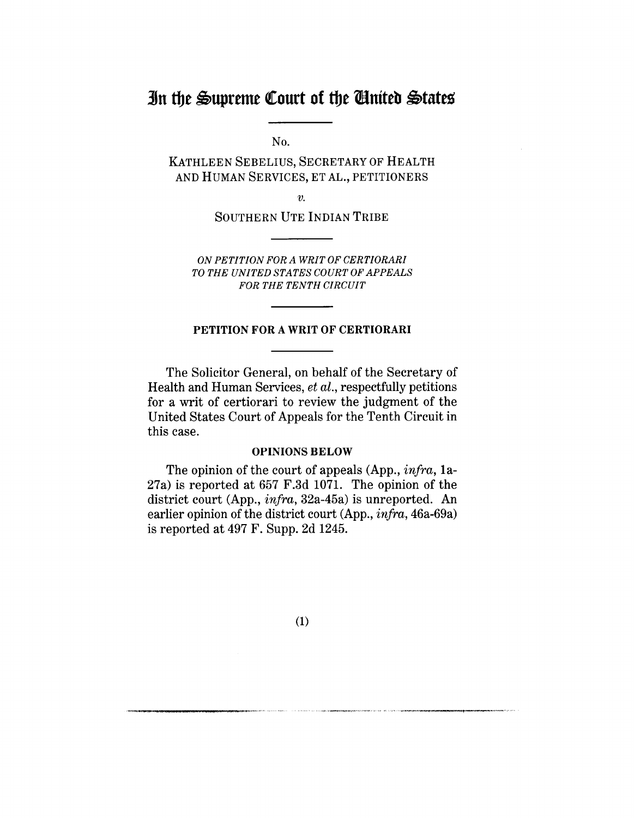### **In the Supreme Court of the Cinited States**

No.

KATHLEEN SEBELIUS, SECRETARY OF HEALTH AND HUMAN SERVICES, ET AL., PETITIONERS

 $v_{\cdot}$ 

SOUTHERN UTE INDIAN TRIBE

*ON PETITION FOR A WRIT OF CERTIORARI TO THE UNITED STATES COURT OF APPEALS FOR THE TENTH CIRCUIT*

#### PETITION FOR A WRIT OF CERTIORARI

The Solicitor General, on behalf of the Secretary of Health and Human Services, *et al.,* respectfully petitions for a writ of certiorari to review the judgment of the United States Court of Appeals for the Tenth Circuit in this case.

#### OPINIONS BELOW

The opinion of the court of appeals (App., *infra,* la-27a) is reported at 657 F.3d 1071. The opinion of the district court (App., *infra,* 32a-45a) is unreported. An earlier opinion of the district court (App., *infra,* 46a-69a) is reported at 497 F. Supp. 2d 1245.

(1)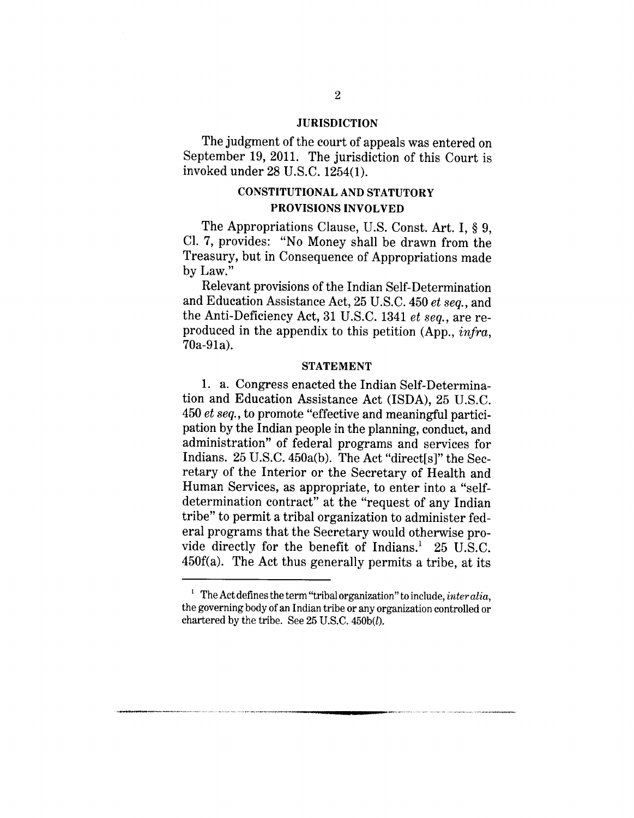#### JURISDICTION

The judgment of the court of appeals was entered on September 19, 2011. The jurisdiction of this Court is invoked under 28 U.S.C. 1254(1).

#### CONSTITUTIONAL AND STATUTORY PROVISIONS IN¥OLVED

The Appropriations Clause, U.S. Const. Art. I, § 9, C1. 7, provides: "No Money shall be drawn from the Treasury, but in Consequence of Appropriations made by Law."

Relevant provisions of the Indian Self-Determination and Education Assistance Act, 25 U.S.C. 450 *et seq.,* and the Anti-Deficiency Act, 31 U.S.C. 1341 *et seq.,* are reproduced in the appendix to this petition (App., *infra,* 70a-91a).

#### STATEMENT

1. a. Congress enacted the Indian Self-Determination and Education Assistance Act (ISDA), 25 U.S.C. 450 *et seq.,* to promote "effective and meaningful participation by the Indian people in the planning, conduct, and administration" of federal programs and services for Indians. 25 U.S.C. 450a(b). The Act "direct[s]" the Secretary of the Interior or the Secretary of Health and Human Services, as appropriate, to enter into a "selfdetermination contract" at the "request of any Indian tribe" to permit a tribal organization to administer federal programs that the Secretary would otherwise provide directly for the benefit of Indians.<sup>1</sup> 25 U.S.C. 450f(a). The Act thus generally permits a tribe, at its

<sup>&</sup>lt;sup>1</sup> The Act defines the term "tribal organization" to include, *interalia*, the governing body of an Indian tribe or any organization controlled or chartered by the tribe. See  $25$  U.S.C.  $450b(l)$ .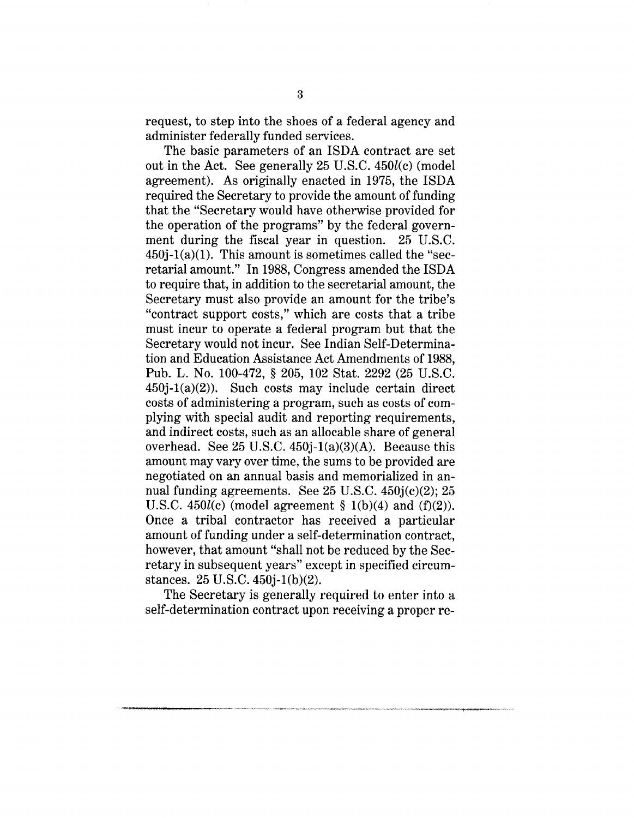request, to step into the shoes of a federal agency and administer federally funded services.

The basic parameters of an ISDA contract are set out in the Act. See generally 25 U.S.C. 450/(c) (model agreement). As originally enacted in 1975, the ISDA required the Secretary to provide the amount of funding that the "Secretary would have otherwise provided for the operation of the programs" by the federal government during the fiscal year in question. 25 U.S.C.  $450j-1(a)(1)$ . This amount is sometimes called the "secretarial amount." In 1988, Congress amended the ISDA to require that, in addition to the secretarial amount, the Secretary must also provide an amount for the tribe's "contract support costs," which are costs that a tribe must incur to operate a federal program but that the Secretary would not incur. See Indian Self-Determination and Education Assistance Act Amendments of 1988, Pub. L. No. 100-472, § 205, 102 Stat. 2292 (25 U.S.C.  $450j-1(a)(2)$ . Such costs may include certain direct costs of administering a program, such as costs of complying with special audit and reporting requirements, and indirect costs, such as an allocable share of general overhead. See  $25 \text{ U.S.C. } 450 \text{j} - 1(a)(3)(\text{A})$ . Because this amount may vary over time, the sums to be provided are negotiated on an annual basis and memorialized in annual funding agreements. See 25 U.S.C. 450j(c)(2); 25 U.S.C.  $450l(c)$  (model agreement § 1(b)(4) and (f)(2)). Once a tribal contractor has received a particular amount of funding under a self-determination contract, however, that amount "shall not be reduced by the Secretary in subsequent years" except in specified circumstances. 25 U.S.C. 450j-l(b)(2).

The Secretary is generally required to enter into a self-determination contract upon receiving a proper re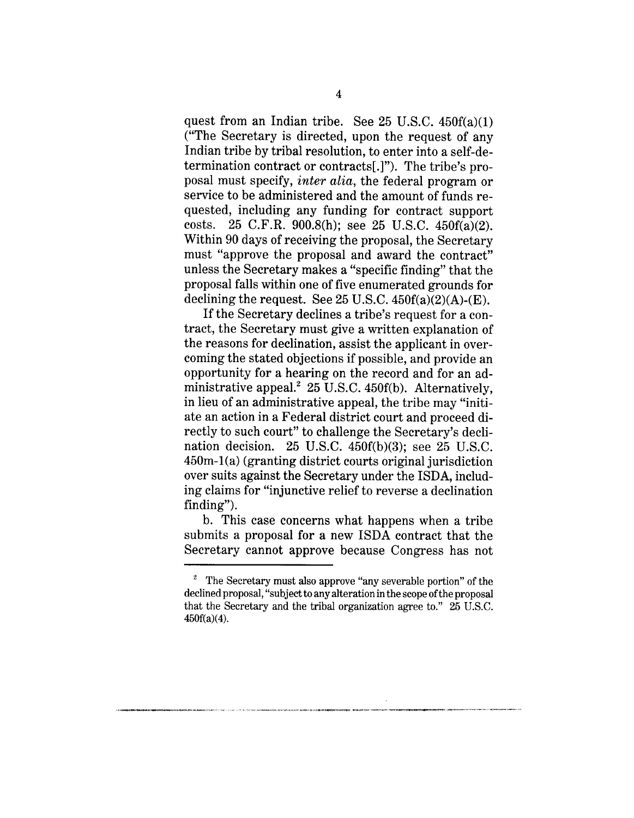quest from an Indian tribe. See  $25$  U.S.C.  $450f(a)(1)$ ("The Secretary is directed, upon the request of any Indian tribe by tribal resolution, to enter into a self-determination contract or contracts[.]"). The tribe's proposal must specify, *inter alia,* the federal program or service to be administered and the amount of funds requested, including any funding for contract support costs. 25 C.F.R. 900.8(h); see 25 U.S.C. 450f(a)(2). Within 90 days of receiving the proposal, the Secretary must "approve the proposal and award the contract" unless the Secretary makes a "specific finding" that the proposal falls within one of five enumerated grounds for declining the request. See 25 U.S.C.  $450f(a)(2)(A)$ -(E).

If the Secretary declines a tribe's request for a contract, the Secretary must give a written explanation of the reasons for declination, assist the applicant in overcoming the stated objections if possible, and provide an opportunity for a hearing on the record and for an administrative appeal.<sup>2</sup> 25 U.S.C. 450f(b). Alternatively, in lieu of an administrative appeal, the tribe may "initiate an action in a Federal district court and proceed directly to such court" to challenge the Secretary's declination decision. 25 U.S.C. 450f(b)(3); see 25 U.S.C. 450m-1(a) (granting district courts original jurisdiction over suits against the Secretary under the ISDA, including claims for "injunctive relief to reverse a declination finding").

b. This case concerns what happens when a tribe submits a proposal for a new ISDA contract that the Secretary cannot approve because Congress has not

 $2^{\circ}$  The Secretary must also approve "any severable portion" of the declined proposal, "subject to any alteration in the scope of the proposal that the Secretary and the tribal organization agree to." 25 U.S.C. 450f(a)(4).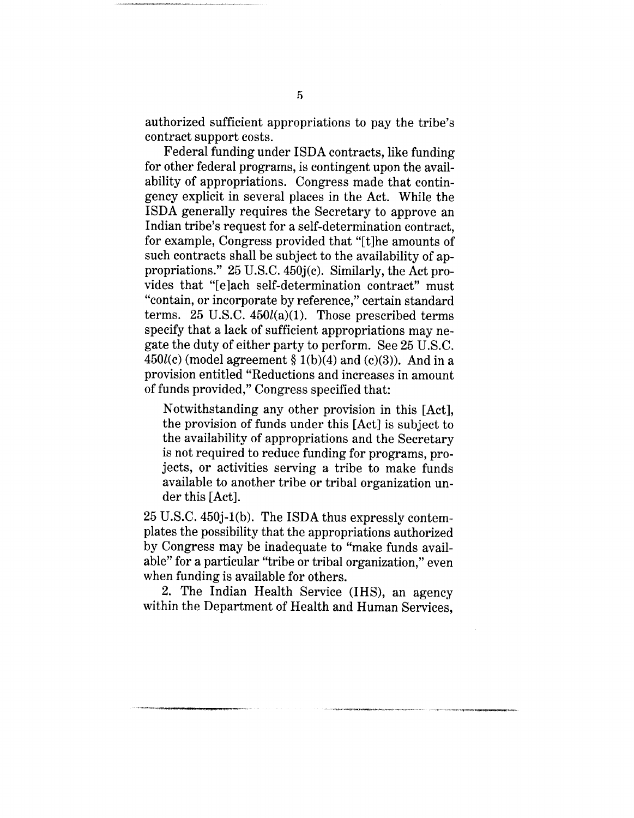authorized sufficient appropriations to pay the tribe's contract support costs.

Federal funding under ISDA contracts, like funding for other federal programs, is contingent upon the availability of appropriations. Congress made that contingency explicit in several places in the Act. While the ISDA generally requires the Secretary to approve an Indian tribe's request for a self-determination contract, for example, Congress provided that "[t]he amounts of such contracts shall be subject to the availability of appropriations." 25 U.S.C. 450j(c). Similarly, the Act provides that "[e]ach self-determination contract" must "contain, or incorporate by reference," certain standard terms. 25 U.S.C.  $450l(a)(1)$ . Those prescribed terms specify that a lack of sufficient appropriations may negate the duty of either party to perform. See 25 U.S.C.  $450l(c)$  (model agreement § 1(b)(4) and (c)(3)). And in a provision entitled "Reductions and increases in amount of funds provided," Congress specified that:

Notwithstanding any other provision in this [Act], the provision of funds under this [Act] is subject to the availability of appropriations and the Secretary is not required to reduce funding for programs, projects, or activities serving a tribe to make funds available to another tribe or tribal organization under this [Act].

25 U.S.C. 450j-1(b). The ISDA thus expressly contemplates the possibility that the appropriations authorized by Congress may be inadequate to "make funds available" for a particular "tribe or tribal organization," even when funding is available for others.

2. The Indian Health Service (IHS), an agency within the Department of Health and Human Services,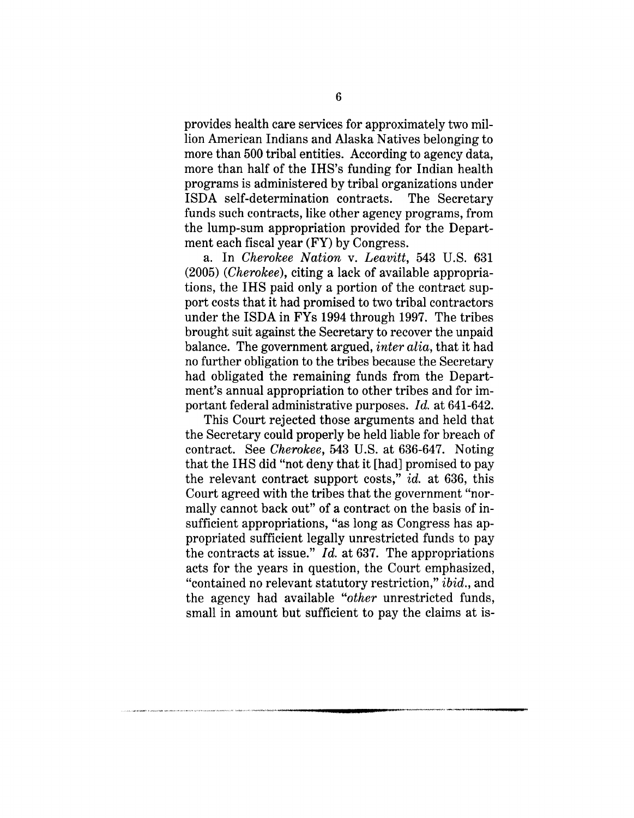provides health care services for approximately two million American Indians and Alaska Natives belonging to more than 500 tribal entities. According to agency data, more than half of the IHS's funding for Indian health programs is administered by tribal organizations under ISDA self-determination contracts. The Secretary funds such contracts, like other agency programs, from the lump-sum appropriation provided for the Department each fiscal year (FY) by Congress.

a. In *Cherokee Nation v. Leavitt,* 543 U.S. 631 (2005) *(Cherokee),* citing a lack of available appropriations, the IHS paid only a portion of the contract support costs that it had promised to two tribal contractors under the ISDA in FYs 1994 through 1997. The tribes brought suit against the Secretary to recover the unpaid balance. The government argued, *inter alia,* that it had no further obligation to the tribes because the Secretary had obligated the remaining funds from the Department's annual appropriation to other tribes and for important federal administrative purposes. *Id.* at 641-642.

This Court rejected those arguments and held that the Secretary could properly be held liable for breach of contract. See *Cherokee,* 543 U.S. at 636-647. Noting that the IHS did "not deny that it [had] promised to pay the relevant contract support costs," *id.* at 636, this Court agreed with the tribes that the government "normally cannot back out" of a contract on the basis of insufficient appropriations, "as long as Congress has appropriated sufficient legally unrestricted funds to pay the contracts at issue." *Id.* at 637. The appropriations acts for the years in question, the Court emphasized, "contained no relevant statutory restriction," *ibid.,* and the agency had available *"other* unrestricted funds, small in amount but sufficient to pay the claims at is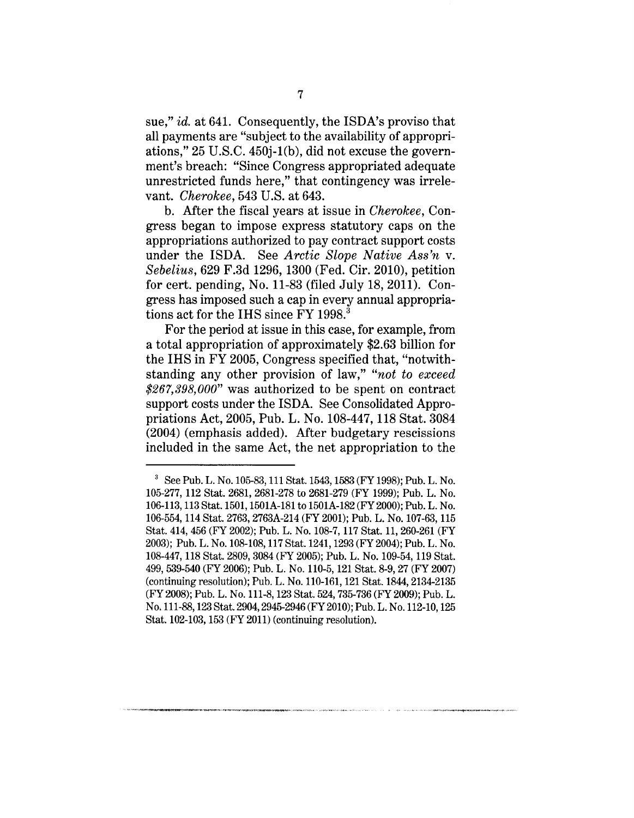sue," *id.* at 641. Consequently, the ISDA's proviso that all payments are "subject to the availability of appropriations," 25 U.S.C. 450j-1(b), did not excuse the government's breach: "Since Congress appropriated adequate unrestricted funds here," that contingency was irrelevant. *Cherokee,* 543 U.S. at 643.

b. After the fiscal years at issue in *Cherokee,* Congress began to impose express statutory caps on the appropriations authorized to pay contract support costs under the ISDA. See *Arctic Slope Native Ass'n v. Sebelius,* 629 F.3d 1296, 1300 (Fed. Cir. 2010), petition for cert. pending, No. 11-83 (filed July 18, 2011). Congress has imposed such a cap in every annual appropriations act for the IHS since FY 1998.<sup>3</sup>

For the period at issue in this case, for example, from a total appropriation of approximately \$2.63 billion for the IHS in FY 2005, Congress specified that, "notwithstanding any other provision of law," *"not to exceed \$267,398,000"* was authorized to be spent on contract support costs under the ISDA. See Consolidated Appropriations Act, 2005, Pub. L. No. 108-447, 118 Stat. 3084 (2004) (emphasis added). After budgetary rescissions included in the same Act, the net appropriation to the

<sup>3</sup> See Pub. L. No. 105-83, 111 Stat. 1543, 1583 (FY 1998); Pub. L. No. 105-277, 112 Stat. 2681, 2681-278 to 2681-279 (FY 1999); Pub. L. No. 106-113, 113 Stat. 1501, 1501A-181 to 1501A-182 (FY 2000); Pub. L. No. 106-554, 114 Stat. 2763, 2763A-214 (FY 2001); Pub. L. No. 107-63, 115 Stat. 414, 456 (FY 2002); Pub. L. No. 108-7, 117 Stat. 11, 260-261 (FY 2003); Pub. L. No. 108-108, 117 Stat. 1241, 1293 (FY 2004); Pub. L. No. 108-447, 118 Stat. 2809, 3084 (FY 2005); Pub. L. No. 109-54, 119 Stat. 499, 539-540 (FY 2006); Pub. L. No. 110-5, 121 Stat. 8-9, 27 (FY 2007) (continuing resolution); Pub. L. No. 110-161,121 Stat. 1844, 2134-2135 (FY 2008); Pub. L. No. 111-8, 123 Stat. 524, 735-736 (FY 2009); Pub. L. No, 111-88, 123 Stat. 2904, 2945-2946 (FY 2010); Pub. L. No. 112-10, 125 Stat. 102-103, 153 (FY 2011) (continuing resolution).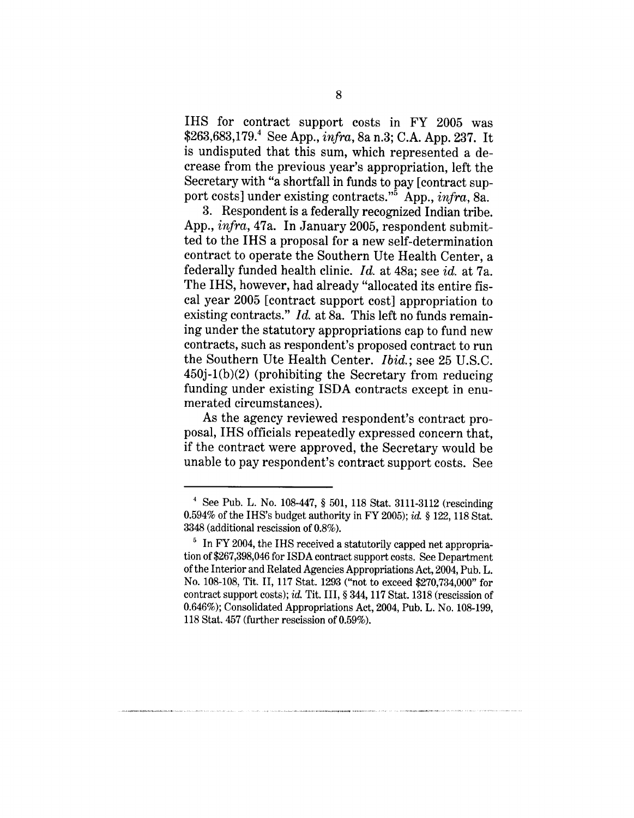IHS for contract support costs in FY 2005 was \$263,683,179.4 See App., *infra,* 8a n.3; C.A. App. 237. It is undisputed that this sum, which represented a decrease from the previous year's appropriation, left the Secretary with "a shortfall in funds to pay [contract support costs] under existing contracts.''5 App., *infra,* 8a.

3. Respondent is a federally recognized Indian tribe. App., *infra,* 47a. In January 2005, respondent submitted to the IHS a proposal for a new self-determination contract to operate the Southern Ute Health Center, a federally funded health clinic. *Id.* at 48a; see *id.* at 7a. The IHS, however, had already "allocated its entire fiscal year 2005 [contract support cost] appropriation to existing contracts." *Id.* at 8a. This left no funds remaining under the statutory appropriations cap to fund new contracts, such as respondent's proposed contract to run the Southern Ute Health Center. *Ibid.;* see 25 U.S.C. 450j-l(b)(2) (prohibiting the Secretary from reducing funding under existing ISDA contracts except in enumerated circumstances).

As the agency reviewed respondent's contract proposal, IHS officials repeatedly expressed concern that, if the contract were approved, the Secretary would be unable to pay respondent's contract support costs. See

<sup>4</sup> See Pub. L. No. 108-447, § 501, 118 Stat. 3111-3112 (rescinding 0.594% of the IHS's budget authority in FY 2005); *id. §* 122, 118 Stat. 3348 (additional rescission of 0.8%).

<sup>&</sup>lt;sup>5</sup> In FY 2004, the IHS received a statutorily capped net appropriation of \$267,398,046 for ISDA contract support costs. See Department of the Interior and Related Agencies Appropriations Act, 2004, Pub. L. No. 108-108, Tit. II, 117 Stat. 1293 ("not to exceed \$270,734,000" for contract support costs); *id.* Tit. III,§ 344, 117 Stat. 1318 (rescission of 0.646%); Consolidated Appropriations Act, 2004, Pub. L. No. 108-199, 118 Stat. 457 (further rescission of 0.59%).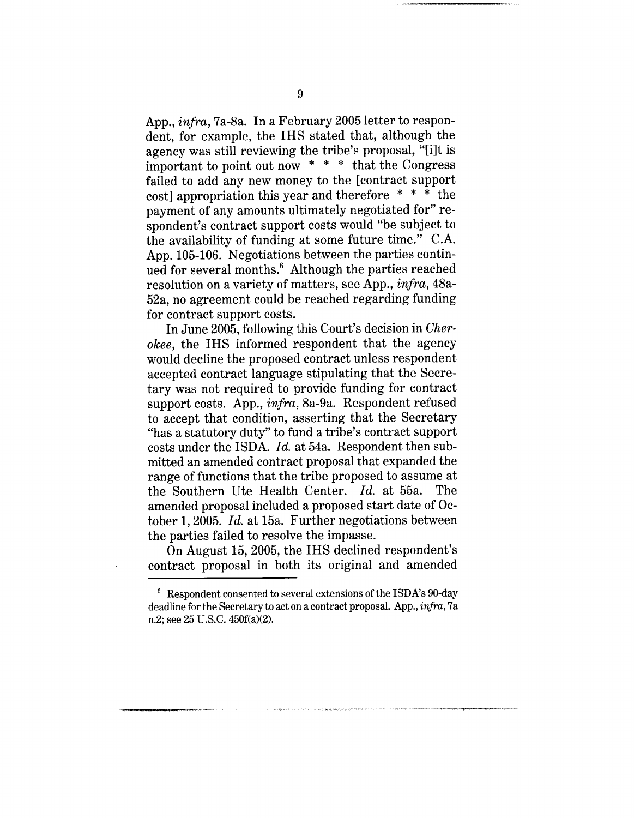App., *infra,* 7a-8a. In a February 2005 letter to respondent, for example, the IHS stated that, although the agency was still reviewing the tribe's proposal, "[i]t is important to point out now \* \* \* that the Congress failed to add any new money to the [contract support cost] appropriation this year and therefore \* \* \* the payment of any amounts ultimately negotiated for" respondent's contract support costs would "be subject to the availability of funding at some future time." C.A. App. 105-106. Negotiations between the parties continued for several months.<sup>6</sup> Although the parties reached resolution on a variety of matters, see App., *infra,* 48a-52a, no agreement could be reached regarding funding for contract support costs.

In June 2005, following this Court's decision in *Cherokee,* the IHS informed respondent that the agency would decline the proposed contract unless respondent accepted contract language stipulating that the Secretary was not required to provide funding for contract support costs. App., *infra,* 8a-9a. Respondent refused to accept that condition, asserting that the Secretary "has a statutory duty" to fund a tribe's contract support costs under the ISDA. *Id.* at 54a. Respondent then submitted an amended contract proposal that expanded the range of functions that the tribe proposed to assume at the Southern Ute Health Center. *Id.* at 55a. The amended proposal included a proposed start date of October 1, 2005. *Id.* at 15a. Further negotiations between the parties failed to resolve the impasse.

On August 15, 2005, the IHS declined respondent's contract proposal in both its original and amended

<sup>6</sup> Respondent consented to several extensions of the ISDA's 90-day deadline for the Secretary to act on a contract proposal. App., *infra,* 7a n.2; see 25 U.S.C. 450f(a)(2).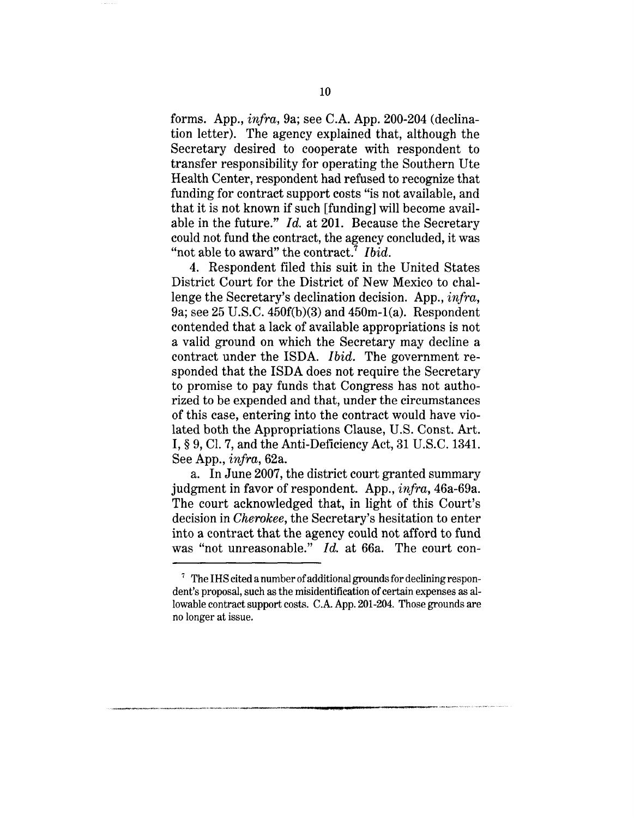forms. App., *infra,* 9a; see C.A. App. 200-204 (declination letter). The agency explained that, although the Secretary desired to cooperate with respondent to transfer responsibility for operating the Southern Ute Health Center, respondent had refused to recognize that funding for contract support costs "is not available, and that it is not known if such [funding] will become available in the future." *Id.* at 201. Because the Secretary could not fund the contract, the agency concluded, it was "not able to award" the contract.7 *Ibid.*

4. Respondent filed this suit in the United States District Court for the District of New Mexico to challenge the Secretary's declination decision. App., *infra,* 9a; see 25 U.S.C. 450f(b)(3) and 450m-l(a). Respondent contended that a lack of available appropriations is not a valid ground on which the Secretary may decline a contract under the ISDA. *Ibid.* The government responded that the ISDA does not require the Secretary to promise to pay funds that Congress has not authorized to be expended and that, under the circumstances of this case, entering into the contract would have violated both the Appropriations Clause, U.S. Const. Art. I, § 9, C1. 7, and the Anti-Deficiency Act, 31 U.S.C. 1341. See App., *infra,* 62a.

a. In June 2007, the district court granted summary judgment in favor of respondent. App., *infra,* 46a-69a. The court acknowledged that, in light of this Court's decision in *Cherokee,* the Secretary's hesitation to enter into a contract that the agency could not afford to fund was "not unreasonable." *Id.* at 66a. The court con-

 $7$  The IHS cited a number of additional grounds for declining respondent's proposal, such as the misidentification of certain expenses as allowable contract support costs. C.A. App. 201-204. Those grounds are no longer at issue.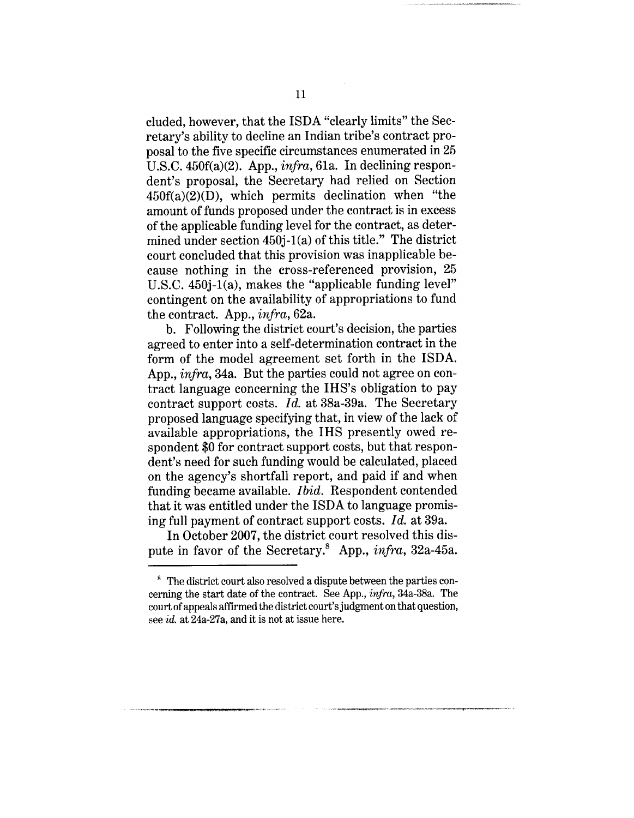cluded, however, that the ISDA "clearly limits" the Secretary's ability to decline an Indian tribe's contract proposal to the five specific circumstances enumerated in 25 U.S.C. 450f(a)(2). App., *infra,* 61a. In declining respondent's proposal, the Secretary had relied on Section  $450f(a)(2)(D)$ , which permits declination when "the amount of funds proposed under the contract is in excess of the applicable funding level for the contract, as determined under section 450j-l(a) of this title." The district court concluded that this provision was inapplicable because nothing in the cross-referenced provision, 25 U.S.C. 450j-l(a), makes the "applicable funding level" contingent on the availability of appropriations to fund the contract. App., *infra,* 62a.

b. Following the district court's decision, the parties agreed to enter into a self-determination contract in the form of the model agreement set forth in the ISDA. App., *infra,* 34a. But the parties could not agree on contract language concerning the IHS's obligation to pay contract support costs. *Id.* at 38a-39a. The Secretary proposed language specifying that, in view of the lack of available appropriations, the IHS presently owed respondent \$0 for contract support costs, but that respondent's need for such funding would be calculated, placed on the agency's shortfall report, and paid if and when funding became available. *Ibid.* Respondent contended that it was entitled under the ISDA to language promising full payment of contract support costs. *Id.* at 39a.

In October 2007, the district court resolved this dispute in favor of the Secretary.8 App., *infra,* 32a-45a.

<sup>8</sup> The district court also resolved a dispute between the parties concerning the start date of the contract. See App., *infra,* 34a-38a. The court of appeals affirmed the district court's judgment on that question, see *id.* at 24a-27a, and it is not at issue here.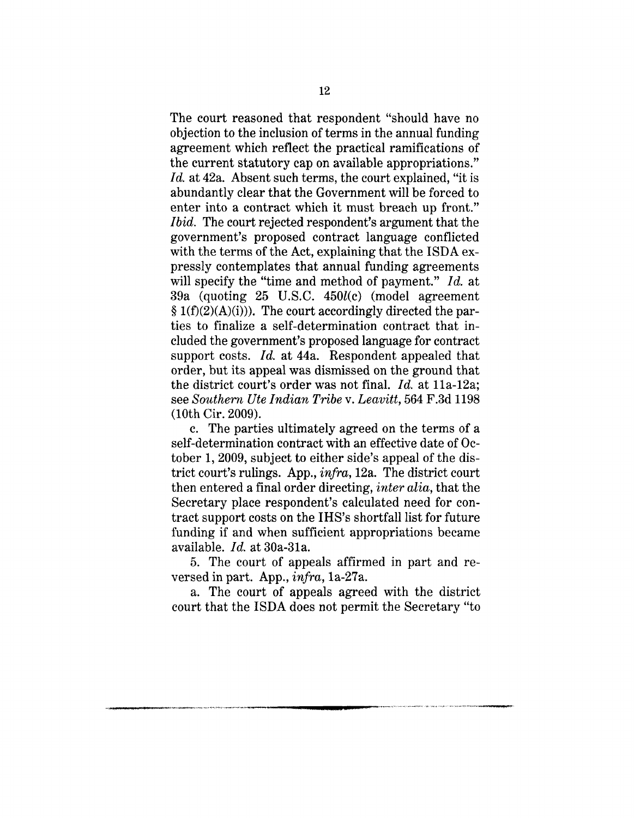The court reasoned that respondent "should have no objection to the inclusion of terms in the annual funding agreement which reflect the practical ramifications of the current statutory cap on available appropriations." *Id.* at 42a. Absent such terms, the court explained, "it is abundantly clear that the Government will be forced to enter into a contract which it must breach up front." *Ibid.* The court rejected respondent's argument that the government's proposed contract language conflicted with the terms of the Act, explaining that the ISDA expressly contemplates that annual funding agreements will specify the "time and method of payment." *Id.* at 39a (quoting 25 U.S.C. 450/(c) (model agreement  $§ 1(f)(2)(A)(i))$ . The court accordingly directed the parties to finalize a self-determination contract that included the government's proposed language for contract support costs. *Id.* at 44a. Respondent appealed that order, but its appeal was dismissed on the ground that the district court's order was not final. *Id.* at lla-12a; see *Southern Ute Indian Tribe v. Leavitt,* 564 F.3d 1198 (10th Cir. 2009).

c. The parties ultimately agreed on the terms of a self-determination contract with an effective date of October 1, 2009, subject to either side's appeal of the district court's rulings. App., *infra,* 12a. The district court then entered a final order directing, *inter alia,* that the Secretary place respondent's calculated need for contract support costs on the IHS's shortfall list for future funding if and when sufficient appropriations became available. *Id.* at 30a-31a.

5. The court of appeals affirmed in part and reversed in part. App., *infra,* 1a-27a.

a. The court of appeals agreed with the district court that the ISDA does not permit the Secretary "to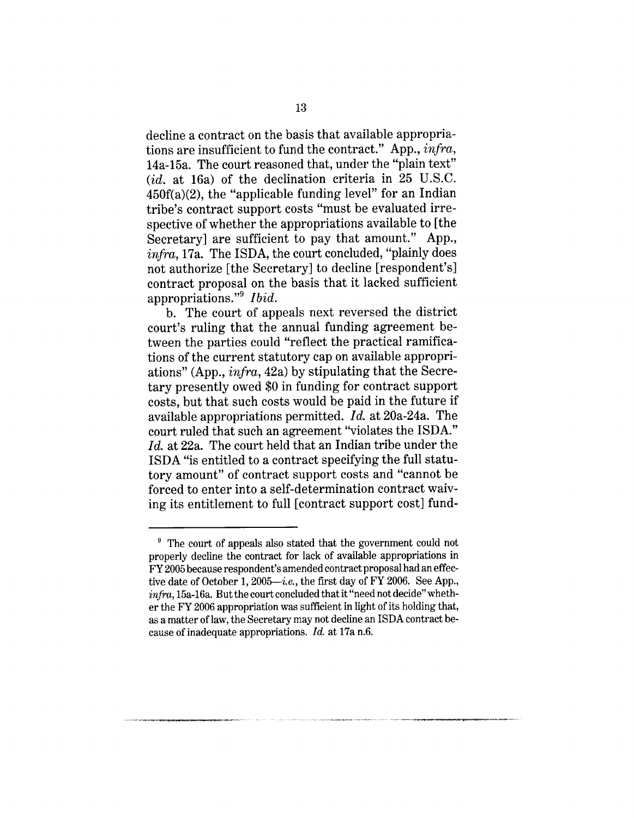decline a contract on the basis that available appropriations are insufficient to fund the contract." App., *infra,* 14a-15a. The court reasoned that, under the "plain text" *(id.* at 16a) of the declination criteria in 25 U.S.C. 450f(a)(2), the "applicable funding level" for an Indian tribe's contract support costs "must be evaluated irrespective of whether the appropriations available to [the Secretary] are sufficient to pay that amount." App., *infra,* 17a. The ISDA, the court concluded, "plainly does not authorize [the Secretary] to decline [respondent's] contract proposal on the basis that it lacked sufficient appropriations.''9 *Ibid.*

b. The court of appeals next reversed the district court's ruling that the annual funding agreement between the parties could "reflect the practical ramifications of the current statutory cap on available appropriations" (App., *infra,* 42a) by stipulating that the Secretary presently owed \$0 in funding for contract support costs, but that such costs would be paid in the future if available appropriations permitted. *Id.* at 20a-24a. The court ruled that such an agreement "violates the ISDA." *Id.* at 22a. The court held that an Indian tribe under the ISDA "is entitled to a contract specifying the full statutory amount" of contract support costs and "cannot be forced to enter into a self-determination contract waiving its entitlement to full [contract support cost] fund-

<sup>&</sup>lt;sup>9</sup> The court of appeals also stated that the government could not properly decline the contract for lack of available appropriations in FY 2005 because respondent's amended contract proposal had an effective date of October 1, 2005-*i.e.*, the first day of FY 2006. See App., *infra,* 15a-16a. But the court concluded that it"need not decide" whether the FY 2006 appropriation was sufficient in light of its holding that, as a matter of law, the Secretary may not decline an ISDA contract because of inadequate appropriations. *Id.* at 17a n.6.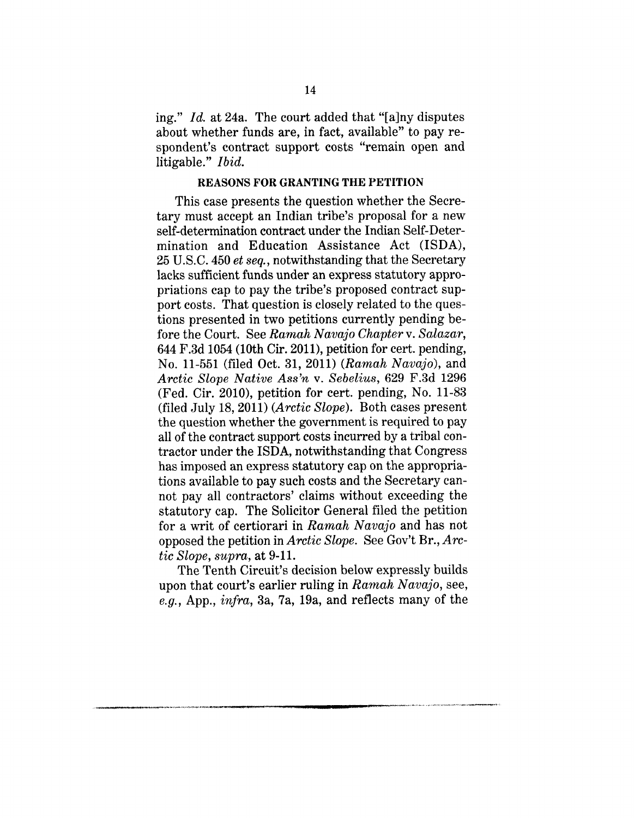ing." *Id.* at 24a. The court added that "[a]ny disputes about whether funds are, in fact, available" to pay respondent's contract support costs "remain open and litigable." *Ibid.*

#### **REASONS FOR GRANTING THE PETITION**

This case presents the question whether the Secretary must accept an Indian tribe's proposal for a new self-determination contract under the Indian Self-Determination and Education Assistance Act (ISDA), 25 U.S.C. 450 *et seq.,* notwithstanding that the Secretary lacks sufficient funds under an express statutory appropriations cap to pay the tribe's proposed contract support costs. That question is closely related to the questions presented in two petitions currently pending before the Court. See *Ramah Navajo Chapter v. Salazar,* 644 F.3d 1054 (10th Cir. 2011), petition for cert. pending, No. 11-551 (filed Oct. 31, 2011) *(Ramah Navajo),* and *Arctic Slope Native Ass'n v. Sebelius,* 629 F.3d 1296 (Fed. Cir. 2010), petition for cert. pending, No. 11-83 (filed July 18, 2011) *(Arctic Slope).* Both cases present the question whether the government is required to pay all of the contract support costs incurred by a tribal contractor under the ISDA, notwithstanding that Congress has imposed an express statutory cap on the appropriations available to pay such costs and the Secretary cannot pay all contractors' claims without exceeding the statutory cap. The Solicitor General filed the petition for a writ of certiorari in *Ramah Navajo* and has not opposed the petition in *Arctic Slope.* See Gov't Br., *Arctic Slope, supra,* at 9-11.

The Tenth Circuit's decision below expressly builds upon that court's earlier ruling in *Ramah Navajo,* see, *e.g.,* App., *infra,* 3a, 7a, 19a, and reflects many of the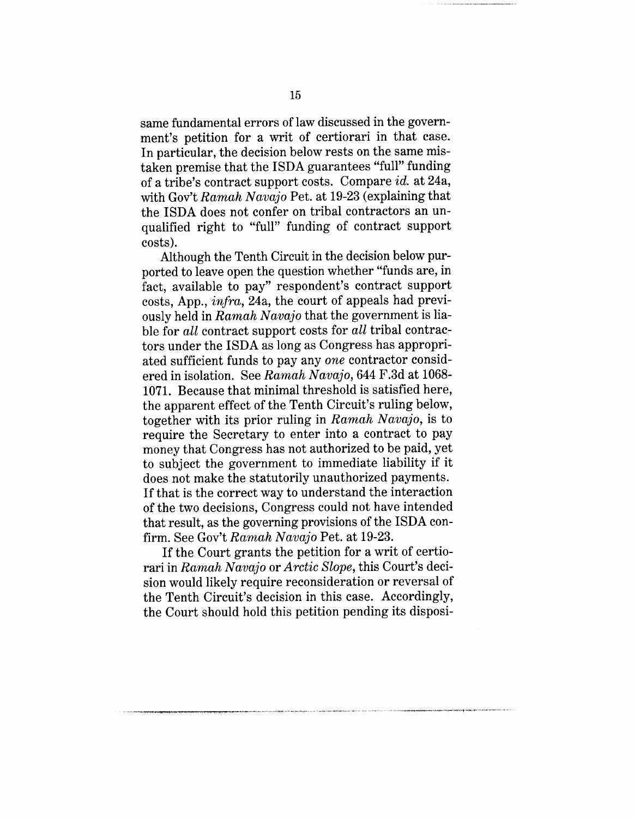same fundamental errors of law discussed in the government's petition for a writ of certiorari in that case. In particular, the decision below rests on the same mistaken premise that the ISDA guarantees "full" funding of a tribe's contract support costs. Compare *id.* at 24a, with Gov't *Ramah Navajo* Pet. at 19-23 (explaining that the ISDA does not confer on tribal contractors an unqualified right to "full" funding of contract support costs).

Although the Tenth Circuit in the decision below purported to leave open the question whether "funds are, in fact, available to pay" respondent's contract support costs, App., *infra,* 24a, the court of appeals had previously held in *Ramah Navajo* that the government is liable for *all* contract support costs for *all* tribal contractors under the ISDA as long as Congress has appropriated sufficient funds to pay any *one* contractor considered in isolation. See *Ramah Navajo,* 644 F.3d at 1068- 1071. Because that minimal threshold is satisfied here, the apparent effect of the Tenth Circuit's ruling below, together with its prior ruling in *Ramah Navajo,* is to require the Secretary to enter into a contract to pay money that Congress has not authorized to be paid, yet to subject the government to immediate liability if it does not make the statutorily unauthorized payments. If that is the correct way to understand the interaction of the two decisions, Congress could not have intended that result, as the governing provisions of the ISDA confirm. See Gov't *Ramah Navajo* Pet. at 19-23.

If the Court grants the petition for a writ of certiorari in *Ramah Navajo* or *Arctic Slope,* this Court's decision would likely require reconsideration or reversal of the Tenth Circuit's decision in this case. Accordingly, the Court should hold this petition pending its disposi